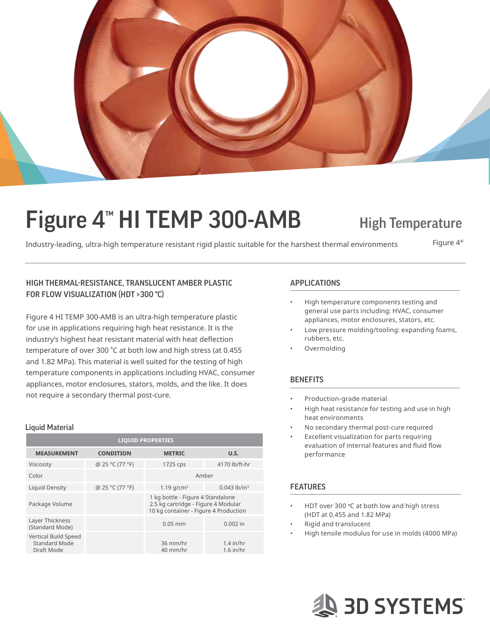

# Figure 4<sup>™</sup> HI TEMP 300-AMB High Temperature

Industry-leading, ultra-high temperature resistant rigid plastic suitable for the harshest thermal environments Figure  $4^\circ$ 

## HIGH THERMAL-RESISTANCE, TRANSLUCENT AMBER PLASTIC APPLICATIONS FOR FLOW VISUALIZATION (HDT >300 **°**C)

Figure 4 HI TEMP 300-AMB is an ultra-high temperature plastic for use in applications requiring high heat resistance. It is the industry's highest heat resistant material with heat deflection temperature of over 300 °C at both low and high stress (at 0.455 and 1.82 MPa). This material is well suited for the testing of high temperature components in applications including HVAC, consumer appliances, motor enclosures, stators, molds, and the like. It does not require a secondary thermal post-cure. example a secondary thermal post-cure.

### Liquid Material

| <b>LIQUID PROPERTIES</b>                            |                  |                                                                                                                   |                            |  |
|-----------------------------------------------------|------------------|-------------------------------------------------------------------------------------------------------------------|----------------------------|--|
| <b>MEASUREMENT</b>                                  | <b>CONDITION</b> | <b>METRIC</b>                                                                                                     | U.S.                       |  |
| Viscosity                                           | @ 25 °C (77 °F)  | 1725 cps                                                                                                          | 4170 lb/ft-hr              |  |
| Color                                               |                  | Amber                                                                                                             |                            |  |
| <b>Liquid Density</b>                               | @ 25 °C (77 °F)  | 1.19 $q/cm^3$                                                                                                     | $0.043$ lb/in <sup>3</sup> |  |
| Package Volume                                      |                  | 1 kg bottle - Figure 4 Standalone<br>2.5 kg cartridge - Figure 4 Modular<br>10 kg container - Figure 4 Production |                            |  |
| Layer Thickness<br>(Standard Mode)                  |                  | $0.05$ mm                                                                                                         | $0.002$ in                 |  |
| Vertical Build Speed<br>Standard Mode<br>Draft Mode |                  | 36 mm/hr<br>40 mm/hr                                                                                              | $1.4$ in/hr<br>$1.6$ in/hr |  |

- High temperature components testing and general use parts including: HVAC, consumer appliances, motor enclosures, stators, etc.
- Low pressure molding/tooling: expanding foams, rubbers, etc.
- Overmolding

## **BENEFITS**

- 
- High heat resistance for testing and use in high heat environments
- No secondary thermal post-cure required
- Excellent visualization for parts requiring evaluation of internal features and fluid flow performance

## **FEATURES**

- HDT over 300 °C at both low and high stress (HDT at 0.455 and 1.82 MPa)
- Rigid and translucent
- High tensile modulus for use in molds (4000 MPa)